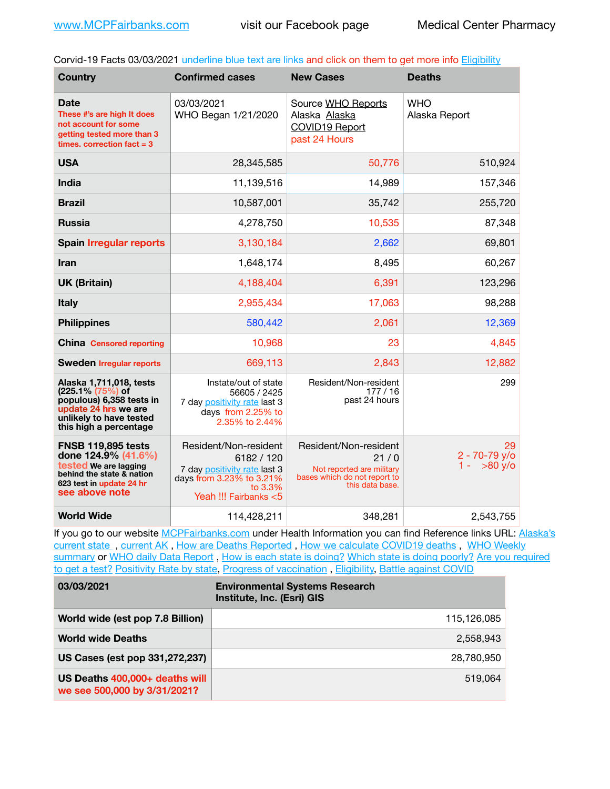Corvid-19 Facts 03/03/2021 underline blue text are links and click on them to get more info [Eligibility](http://dhss.alaska.gov/dph/Epi/id/Pages/COVID-19/VaccineAvailability.aspx)

| <b>Country</b>                                                                                                                                       | <b>Confirmed cases</b>                                                                                                              | <b>New Cases</b>                                                                                              | <b>Deaths</b>                                    |
|------------------------------------------------------------------------------------------------------------------------------------------------------|-------------------------------------------------------------------------------------------------------------------------------------|---------------------------------------------------------------------------------------------------------------|--------------------------------------------------|
| Date<br>These #'s are high It does<br>not account for some<br>getting tested more than 3<br>times, correction $fact = 3$                             | 03/03/2021<br>WHO Began 1/21/2020                                                                                                   | Source WHO Reports<br>Alaska Alaska<br>COVID19 Report<br>past 24 Hours                                        | <b>WHO</b><br>Alaska Report                      |
| <b>USA</b>                                                                                                                                           | 28,345,585                                                                                                                          | 50,776                                                                                                        | 510,924                                          |
| <b>India</b>                                                                                                                                         | 11,139,516                                                                                                                          | 14,989                                                                                                        | 157,346                                          |
| <b>Brazil</b>                                                                                                                                        | 10,587,001                                                                                                                          | 35,742                                                                                                        | 255,720                                          |
| <b>Russia</b>                                                                                                                                        | 4,278,750                                                                                                                           | 10,535                                                                                                        | 87,348                                           |
| <b>Spain Irregular reports</b>                                                                                                                       | 3,130,184                                                                                                                           | 2,662                                                                                                         | 69,801                                           |
| Iran                                                                                                                                                 | 1,648,174                                                                                                                           | 8,495                                                                                                         | 60,267                                           |
| <b>UK (Britain)</b>                                                                                                                                  | 4,188,404                                                                                                                           | 6,391                                                                                                         | 123,296                                          |
| <b>Italy</b>                                                                                                                                         | 2,955,434                                                                                                                           | 17,063                                                                                                        | 98,288                                           |
| <b>Philippines</b>                                                                                                                                   | 580,442                                                                                                                             | 2,061                                                                                                         | 12,369                                           |
| <b>China Censored reporting</b>                                                                                                                      | 10,968                                                                                                                              | 23                                                                                                            | 4,845                                            |
| <b>Sweden Irregular reports</b>                                                                                                                      | 669,113                                                                                                                             | 2,843                                                                                                         | 12,882                                           |
| Alaska 1,711,018, tests<br>(225.1% (75%) of<br>populous) 6,358 tests in<br>update 24 hrs we are<br>unlikely to have tested<br>this high a percentage | Instate/out of state<br>56605 / 2425<br>7 day positivity rate last 3<br>days from 2.25% to<br>2.35% to 2.44%                        | Resident/Non-resident<br>177/16<br>past 24 hours                                                              | 299                                              |
| <b>FNSB 119,895 tests</b><br>done 124.9% (41.6%)<br>tested We are lagging<br>behind the state & nation<br>623 test in update 24 hr<br>see above note | Resident/Non-resident<br>6182 / 120<br>7 day positivity rate last 3<br>days from 3.23% to 3.21%<br>to 3.3%<br>Yeah !!! Fairbanks <5 | Resident/Non-resident<br>21/0<br>Not reported are military<br>bases which do not report to<br>this data base. | 29<br>$2 - 70 - 79$ y/o<br>$1 - 580 \text{ y/o}$ |
| <b>World Wide</b>                                                                                                                                    | 114,428,211                                                                                                                         | 348.281                                                                                                       | 2,543,755                                        |

If you go to our website [MCPFairbanks.com](http://www.MCPFairbanks.com) under Health Information you can find Reference links URL: [Alaska's](https://coronavirus-response-alaska-dhss.hub.arcgis.com)  current state, current AK, [How are Deaths Reported](http://dhss.alaska.gov/dph/Epi/id/Pages/COVID-19/deathcounts.aspx), [How we calculate COVID19 deaths](https://coronavirus-response-alaska-dhss.hub.arcgis.com/search?collection=Document&groupIds=41ccb3344ebc4bd682c74073eba21f42), WHO Weekly [summary](http://www.who.int) or [WHO daily Data Report](https://covid19.who.int/table), [How is each state is doing?](https://www.msn.com/en-us/news/us/state-by-state-coronavirus-news/ar-BB13E1PX?fbclid=IwAR0_OBJH7lSyTN3ug_MsOeFnNgB1orTa9OBgilKJ7dhnwlVvHEsptuKkj1c) [Which state is doing poorly?](https://bestlifeonline.com/covid-outbreak-your-state/?utm_source=nsltr&utm_medium=email&utm_content=covid-outbreak-your-state&utm_campaign=launch) Are you required [to get a test?](http://dhss.alaska.gov/dph/Epi/id/SiteAssets/Pages/HumanCoV/Whattodoafteryourtest.pdf) [Positivity Rate by state](https://coronavirus.jhu.edu/testing/individual-states/alaska), [Progress of vaccination](https://covid.cdc.gov/covid-data-tracker/#vaccinations), [Eligibility,](http://dhss.alaska.gov/dph/Epi/id/Pages/COVID-19/VaccineAvailability.aspx) [Battle against COVID](https://www.nationalgeographic.com/science/graphics/graphic-tracking-coronavirus-infections-us?cmpid=org=ngp::mc=crm-email::src=ngp::cmp=editorial::add=SpecialEdition_20210219&rid=B9A6DF5992658E8E35CE023113CFEA4C)

| 03/03/2021                                                     | <b>Environmental Systems Research</b><br>Institute, Inc. (Esri) GIS |
|----------------------------------------------------------------|---------------------------------------------------------------------|
| World wide (est pop 7.8 Billion)                               | 115,126,085                                                         |
| <b>World wide Deaths</b>                                       | 2,558,943                                                           |
| US Cases (est pop 331,272,237)                                 | 28,780,950                                                          |
| US Deaths 400,000+ deaths will<br>we see 500,000 by 3/31/2021? | 519.064                                                             |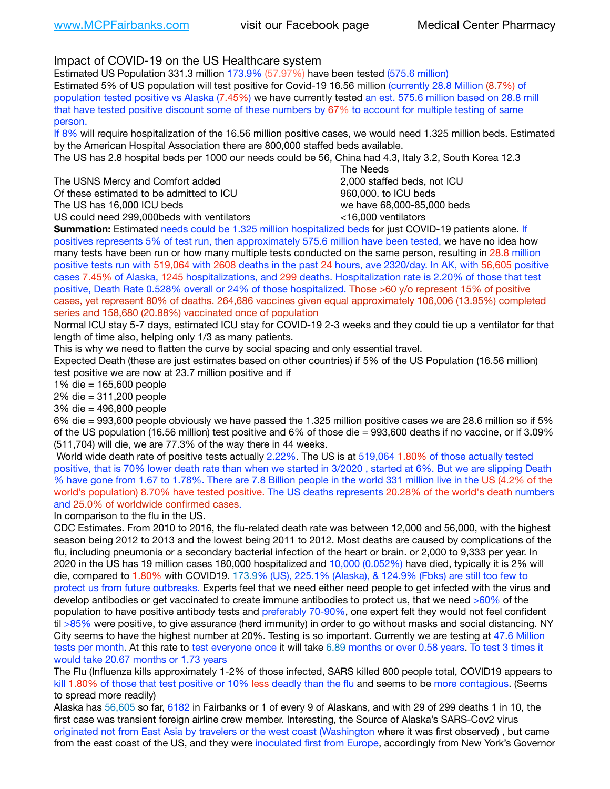Impact of COVID-19 on the US Healthcare system

Estimated US Population 331.3 million 173.9% (57.97%) have been tested (575.6 million) Estimated 5% of US population will test positive for Covid-19 16.56 million (currently 28.8 Million (8.7%) of population tested positive vs Alaska (7.45%) we have currently tested an est. 575.6 million based on 28.8 mill that have tested positive discount some of these numbers by 67% to account for multiple testing of same person.

If 8% will require hospitalization of the 16.56 million positive cases, we would need 1.325 million beds. Estimated by the American Hospital Association there are 800,000 staffed beds available.

The US has 2.8 hospital beds per 1000 our needs could be 56, China had 4.3, Italy 3.2, South Korea 12.3

The USNS Mercy and Comfort added **8.2000** staffed beds, not ICU Of these estimated to be admitted to ICU 860,000. to ICU beds The US has 16,000 ICU beds we have 68,000-85,000 beds

 The Needs US could need 299,000beds with ventilators <16,000 ventilators

**Summation:** Estimated needs could be 1.325 million hospitalized beds for just COVID-19 patients alone. If positives represents 5% of test run, then approximately 575.6 million have been tested, we have no idea how many tests have been run or how many multiple tests conducted on the same person, resulting in 28.8 million positive tests run with 519,064 with 2608 deaths in the past 24 hours, ave 2320/day. In AK, with 56,605 positive cases 7.45% of Alaska, 1245 hospitalizations, and 299 deaths. Hospitalization rate is 2.20% of those that test positive, Death Rate 0.528% overall or 24% of those hospitalized. Those >60 y/o represent 15% of positive cases, yet represent 80% of deaths. 264,686 vaccines given equal approximately 106,006 (13.95%) completed series and 158,680 (20.88%) vaccinated once of population

Normal ICU stay 5-7 days, estimated ICU stay for COVID-19 2-3 weeks and they could tie up a ventilator for that length of time also, helping only 1/3 as many patients.

This is why we need to flatten the curve by social spacing and only essential travel.

Expected Death (these are just estimates based on other countries) if 5% of the US Population (16.56 million) test positive we are now at 23.7 million positive and if

1% die = 165,600 people

2% die = 311,200 people

3% die = 496,800 people

6% die = 993,600 people obviously we have passed the 1.325 million positive cases we are 28.6 million so if 5% of the US population (16.56 million) test positive and 6% of those die = 993,600 deaths if no vaccine, or if 3.09% (511,704) will die, we are 77.3% of the way there in 44 weeks.

 World wide death rate of positive tests actually 2.22%. The US is at 519,064 1.80% of those actually tested positive, that is 70% lower death rate than when we started in 3/2020 , started at 6%. But we are slipping Death % have gone from 1.67 to 1.78%. There are 7.8 Billion people in the world 331 million live in the US (4.2% of the world's population) 8.70% have tested positive. The US deaths represents 20.28% of the world's death numbers and 25.0% of worldwide confirmed cases.

In comparison to the flu in the US.

CDC Estimates. From 2010 to 2016, the flu-related death rate was between 12,000 and 56,000, with the highest season being 2012 to 2013 and the lowest being 2011 to 2012. Most deaths are caused by complications of the flu, including pneumonia or a secondary bacterial infection of the heart or brain. or 2,000 to 9,333 per year. In 2020 in the US has 19 million cases 180,000 hospitalized and 10,000 (0.052%) have died, typically it is 2% will die, compared to 1.80% with COVID19. 173.9% (US), 225.1% (Alaska), & 124.9% (Fbks) are still too few to protect us from future outbreaks. Experts feel that we need either need people to get infected with the virus and develop antibodies or get vaccinated to create immune antibodies to protect us, that we need >60% of the population to have positive antibody tests and preferably 70-90%, one expert felt they would not feel confident til >85% were positive, to give assurance (herd immunity) in order to go without masks and social distancing. NY City seems to have the highest number at 20%. Testing is so important. Currently we are testing at 47.6 Million tests per month. At this rate to test everyone once it will take 6.89 months or over 0.58 years. To test 3 times it would take 20.67 months or 1.73 years

The Flu (Influenza kills approximately 1-2% of those infected, SARS killed 800 people total, COVID19 appears to kill 1.80% of those that test positive or 10% less deadly than the flu and seems to be more contagious. (Seems to spread more readily)

Alaska has 56,605 so far, 6182 in Fairbanks or 1 of every 9 of Alaskans, and with 29 of 299 deaths 1 in 10, the first case was transient foreign airline crew member. Interesting, the Source of Alaska's SARS-Cov2 virus originated not from East Asia by travelers or the west coast (Washington where it was first observed) , but came from the east coast of the US, and they were inoculated first from Europe, accordingly from New York's Governor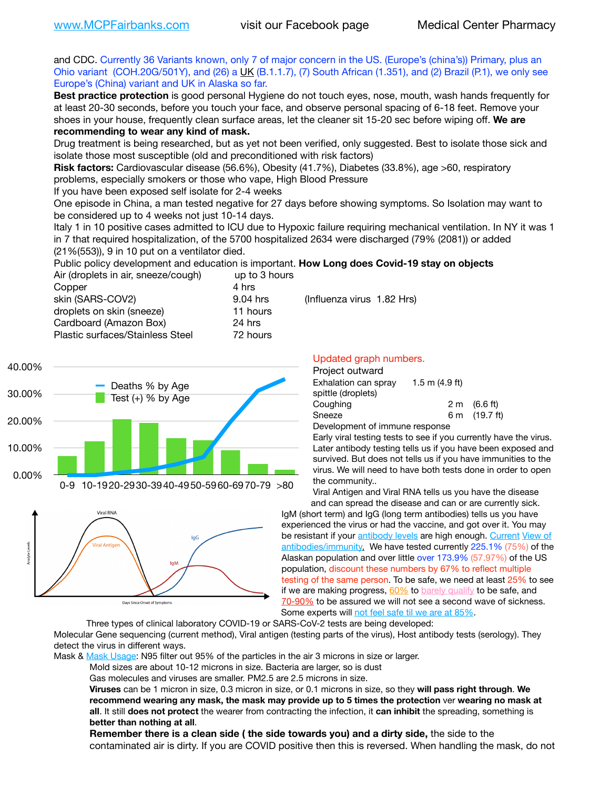and CDC. Currently 36 Variants known, only 7 of major concern in the US. (Europe's (china's)) Primary, plus an Ohio variant (COH.20G/501Y), and (26) a [UK](https://www.cdc.gov/coronavirus/2019-ncov/transmission/variant-cases.html) (B.1.1.7), (7) South African (1.351), and (2) Brazil (P.1), we only see Europe's (China) variant and UK in Alaska so far.

**Best practice protection** is good personal Hygiene do not touch eyes, nose, mouth, wash hands frequently for at least 20-30 seconds, before you touch your face, and observe personal spacing of 6-18 feet. Remove your shoes in your house, frequently clean surface areas, let the cleaner sit 15-20 sec before wiping off. **We are recommending to wear any kind of mask.**

Drug treatment is being researched, but as yet not been verified, only suggested. Best to isolate those sick and isolate those most susceptible (old and preconditioned with risk factors)

**Risk factors:** Cardiovascular disease (56.6%), Obesity (41.7%), Diabetes (33.8%), age >60, respiratory problems, especially smokers or those who vape, High Blood Pressure

If you have been exposed self isolate for 2-4 weeks

One episode in China, a man tested negative for 27 days before showing symptoms. So Isolation may want to be considered up to 4 weeks not just 10-14 days.

Italy 1 in 10 positive cases admitted to ICU due to Hypoxic failure requiring mechanical ventilation. In NY it was 1 in 7 that required hospitalization, of the 5700 hospitalized 2634 were discharged (79% (2081)) or added (21%(553)), 9 in 10 put on a ventilator died.

Public policy development and education is important. **How Long does Covid-19 stay on objects** Air (droplets in air, sneeze/cough) up to 3 hours

| Air (dropiets in air, sheeze/cough) | ap to 3 nours |
|-------------------------------------|---------------|
| Copper                              | 4 hrs         |
| skin (SARS-COV2)                    | 9.04 hrs      |
| droplets on skin (sneeze)           | 11 hours      |
| Cardboard (Amazon Box)              | 24 hrs        |
| Plastic surfaces/Stainless Steel    | 72 hours      |
|                                     |               |





#### Days Since Onset of Symptoms

 $(Influenza virus 1.82 Hrs)$ 

#### Updated graph numbers. Project outward

| Fiolect outward                  |                  |                        |
|----------------------------------|------------------|------------------------|
| Exhalation can sprav             | 1.5 m $(4.9$ ft) |                        |
| spittle (droplets)               |                  |                        |
| Coughing                         |                  | $2 \text{ m}$ (6.6 ft) |
| Sneeze                           |                  | 6 m (19.7 ft)          |
| $Dovolannant$ of immune reapened |                  |                        |

Development of immune response

Early viral testing tests to see if you currently have the virus. Later antibody testing tells us if you have been exposed and survived. But does not tells us if you have immunities to the virus. We will need to have both tests done in order to open the community..

Viral Antigen and Viral RNA tells us you have the disease and can spread the disease and can or are currently sick.

IgM (short term) and IgG (long term antibodies) tells us you have experienced the virus or had the vaccine, and got over it. You may be resistant if your [antibody levels](https://www.cdc.gov/coronavirus/2019-ncov/lab/resources/antibody-tests.html) are high enough. [Current](https://l.facebook.com/l.php?u=https://www.itv.com/news/2020-10-26/covid-19-antibody-levels-reduce-over-time-study-finds?fbclid=IwAR3Dapzh1qIH1EIOdUQI2y8THf7jfA4KBCaJz8Qg-8xe1YsrR4nsAHDIXSY&h=AT30nut8pkqp0heVuz5W2rT2WFFm-2Ab52BsJxZZCNlGsX58IpPkuVEPULbIUV_M16MAukx1Kwb657DPXxsgDN1rpOQ4gqBtQsmVYiWpnHPJo2RQsU6CPMd14lgLnQnFWxfVi6zvmw&__tn__=-UK-R&c%5B0%5D=AT1GaRAfR_nGAyqcn7TI1-PpvqOqEKXHnz6TDWvRStMnOSH7boQDvTiwTOc6VId9UES6LKiOmm2m88wKCoolkJyOFvakt2Z1Mw8toYWGGoWW23r0MNVBl7cYJXB_UOvGklNHaNnaNr1_S7NhT3BSykNOBg) View of [antibodies/immunity](https://www.livescience.com/antibodies.html)[.](https://www.itv.com/news/2020-10-26/covid-19-antibody-levels-reduce-over-time-study-finds) We have tested currently 225.1% (75%) of the Alaskan population and over little over 173.9% (57.97%) of the US population, discount these numbers by 67% to reflect multiple testing of the same person. To be safe, we need at least 25% to see if we are making progress, [60%](https://www.jhsph.edu/covid-19/articles/achieving-herd-immunity-with-covid19.html) to [barely qualify](https://www.nature.com/articles/d41586-020-02948-4) to be safe, and [70-90%](https://www.mayoclinic.org/herd-immunity-and-coronavirus/art-20486808) to be assured we will not see a second wave of sickness. Some experts will [not feel safe til we are at 85%](https://www.bannerhealth.com/healthcareblog/teach-me/what-is-herd-immunity).

Three types of clinical laboratory COVID-19 or SARS-CoV-2 tests are being developed:

Molecular Gene sequencing (current method), Viral antigen (testing parts of the virus), Host antibody tests (serology). They detect the virus in different ways.

Mask & [Mask Usage:](https://www.nationalgeographic.com/history/2020/03/how-cities-flattened-curve-1918-spanish-flu-pandemic-coronavirus/) N95 filter out 95% of the particles in the air 3 microns in size or larger.

Mold sizes are about 10-12 microns in size. Bacteria are larger, so is dust

Gas molecules and viruses are smaller. PM2.5 are 2.5 microns in size.

**Viruses** can be 1 micron in size, 0.3 micron in size, or 0.1 microns in size, so they **will pass right through**. **We recommend wearing any mask, the mask may provide up to 5 times the protection** ver **wearing no mask at all**. It still **does not protect** the wearer from contracting the infection, it **can inhibit** the spreading, something is **better than nothing at all**.

**Remember there is a clean side ( the side towards you) and a dirty side,** the side to the contaminated air is dirty. If you are COVID positive then this is reversed. When handling the mask, do not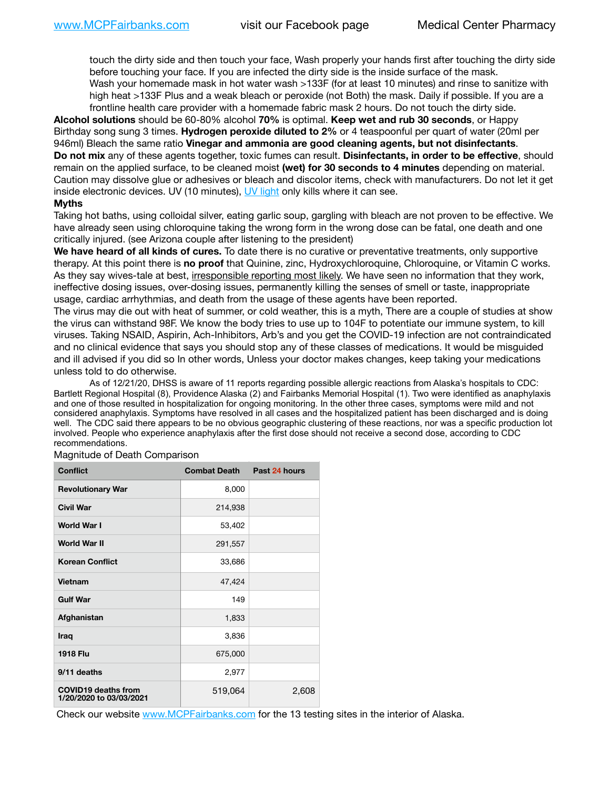touch the dirty side and then touch your face, Wash properly your hands first after touching the dirty side before touching your face. If you are infected the dirty side is the inside surface of the mask. Wash your homemade mask in hot water wash >133F (for at least 10 minutes) and rinse to sanitize with high heat >133F Plus and a weak bleach or peroxide (not Both) the mask. Daily if possible. If you are a frontline health care provider with a homemade fabric mask 2 hours. Do not touch the dirty side.

**Alcohol solutions** should be 60-80% alcohol **70%** is optimal. **Keep wet and rub 30 seconds**, or Happy Birthday song sung 3 times. **Hydrogen peroxide diluted to 2%** or 4 teaspoonful per quart of water (20ml per 946ml) Bleach the same ratio **Vinegar and ammonia are good cleaning agents, but not disinfectants**. **Do not mix** any of these agents together, toxic fumes can result. **Disinfectants, in order to be effective**, should remain on the applied surface, to be cleaned moist **(wet) for 30 seconds to 4 minutes** depending on material. Caution may dissolve glue or adhesives or bleach and discolor items, check with manufacturers. Do not let it get inside electronic devices. UV (10 minutes), [UV light](http://www.docreviews.me/best-uv-boxes-2020/?fbclid=IwAR3bvFtXB48OoBBSvYvTEnKuHNPbipxM6jUo82QUSw9wckxjC7wwRZWabGw) only kills where it can see.

### **Myths**

Taking hot baths, using colloidal silver, eating garlic soup, gargling with bleach are not proven to be effective. We have already seen using chloroquine taking the wrong form in the wrong dose can be fatal, one death and one critically injured. (see Arizona couple after listening to the president)

**We have heard of all kinds of cures.** To date there is no curative or preventative treatments, only supportive therapy. At this point there is **no proof** that Quinine, zinc, Hydroxychloroquine, Chloroquine, or Vitamin C works. As they say wives-tale at best, irresponsible reporting most likely. We have seen no information that they work, ineffective dosing issues, over-dosing issues, permanently killing the senses of smell or taste, inappropriate usage, cardiac arrhythmias, and death from the usage of these agents have been reported.

The virus may die out with heat of summer, or cold weather, this is a myth, There are a couple of studies at show the virus can withstand 98F. We know the body tries to use up to 104F to potentiate our immune system, to kill viruses. Taking NSAID, Aspirin, Ach-Inhibitors, Arb's and you get the COVID-19 infection are not contraindicated and no clinical evidence that says you should stop any of these classes of medications. It would be misguided and ill advised if you did so In other words, Unless your doctor makes changes, keep taking your medications unless told to do otherwise.

As of 12/21/20, DHSS is aware of 11 reports regarding possible allergic reactions from Alaska's hospitals to CDC: Bartlett Regional Hospital (8), Providence Alaska (2) and Fairbanks Memorial Hospital (1). Two were identified as anaphylaxis and one of those resulted in hospitalization for ongoing monitoring. In the other three cases, symptoms were mild and not considered anaphylaxis. Symptoms have resolved in all cases and the hospitalized patient has been discharged and is doing well. The CDC said there appears to be no obvious geographic clustering of these reactions, nor was a specific production lot involved. People who experience anaphylaxis after the first dose should not receive a second dose, according to CDC recommendations.

| <b>Conflict</b>                                       | <b>Combat Death</b> | Past 24 hours |
|-------------------------------------------------------|---------------------|---------------|
| <b>Revolutionary War</b>                              | 8,000               |               |
| <b>Civil War</b>                                      | 214,938             |               |
| World War I                                           | 53,402              |               |
| <b>World War II</b>                                   | 291,557             |               |
| <b>Korean Conflict</b>                                | 33,686              |               |
| Vietnam                                               | 47,424              |               |
| <b>Gulf War</b>                                       | 149                 |               |
| Afghanistan                                           | 1,833               |               |
| Iraq                                                  | 3,836               |               |
| <b>1918 Flu</b>                                       | 675,000             |               |
| 9/11 deaths                                           | 2,977               |               |
| <b>COVID19 deaths from</b><br>1/20/2020 to 03/03/2021 | 519,064             | 2,608         |

Magnitude of Death Comparison

Check our website [www.MCPFairbanks.com](http://www.MCPFairbanks.com) for the 13 testing sites in the interior of Alaska.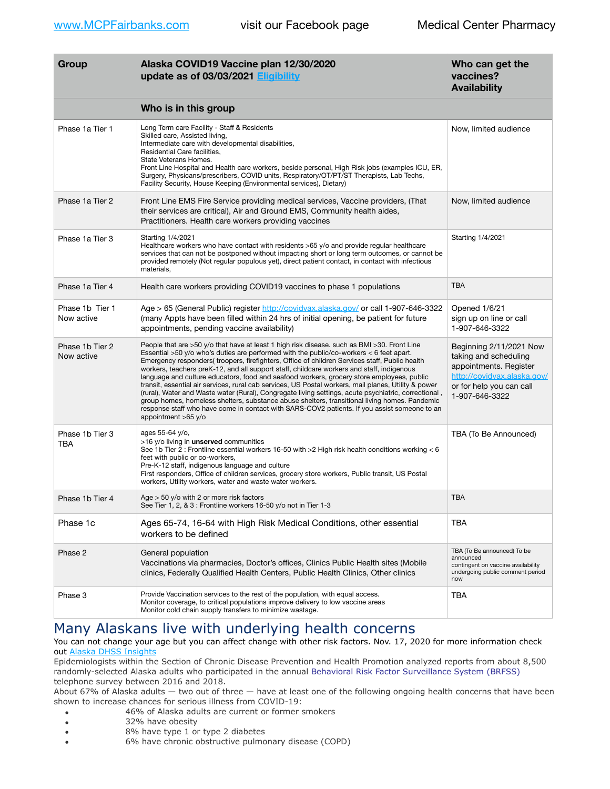| Group                         | Alaska COVID19 Vaccine plan 12/30/2020<br>update as of 03/03/2021 Eligibility                                                                                                                                                                                                                                                                                                                                                                                                                                                                                                                                                                                                                                                                                                                                                                                                                                             | Who can get the<br>vaccines?<br><b>Availability</b>                                                                                                     |
|-------------------------------|---------------------------------------------------------------------------------------------------------------------------------------------------------------------------------------------------------------------------------------------------------------------------------------------------------------------------------------------------------------------------------------------------------------------------------------------------------------------------------------------------------------------------------------------------------------------------------------------------------------------------------------------------------------------------------------------------------------------------------------------------------------------------------------------------------------------------------------------------------------------------------------------------------------------------|---------------------------------------------------------------------------------------------------------------------------------------------------------|
|                               | Who is in this group                                                                                                                                                                                                                                                                                                                                                                                                                                                                                                                                                                                                                                                                                                                                                                                                                                                                                                      |                                                                                                                                                         |
| Phase 1a Tier 1               | Long Term care Facility - Staff & Residents<br>Skilled care, Assisted living,<br>Intermediate care with developmental disabilities,<br>Residential Care facilities,<br>State Veterans Homes.<br>Front Line Hospital and Health care workers, beside personal, High Risk jobs (examples ICU, ER,<br>Surgery, Physicans/prescribers, COVID units, Respiratory/OT/PT/ST Therapists, Lab Techs,<br>Facility Security, House Keeping (Environmental services), Dietary)                                                                                                                                                                                                                                                                                                                                                                                                                                                        | Now, limited audience                                                                                                                                   |
| Phase 1a Tier 2               | Front Line EMS Fire Service providing medical services, Vaccine providers, (That<br>their services are critical), Air and Ground EMS, Community health aides,<br>Practitioners. Health care workers providing vaccines                                                                                                                                                                                                                                                                                                                                                                                                                                                                                                                                                                                                                                                                                                    | Now, limited audience                                                                                                                                   |
| Phase 1a Tier 3               | Starting 1/4/2021<br>Healthcare workers who have contact with residents >65 y/o and provide regular healthcare<br>services that can not be postponed without impacting short or long term outcomes, or cannot be<br>provided remotely (Not regular populous yet), direct patient contact, in contact with infectious<br>materials,                                                                                                                                                                                                                                                                                                                                                                                                                                                                                                                                                                                        | Starting 1/4/2021                                                                                                                                       |
| Phase 1a Tier 4               | Health care workers providing COVID19 vaccines to phase 1 populations                                                                                                                                                                                                                                                                                                                                                                                                                                                                                                                                                                                                                                                                                                                                                                                                                                                     | <b>TBA</b>                                                                                                                                              |
| Phase 1b Tier 1<br>Now active | Age > 65 (General Public) register http://covidvax.alaska.gov/ or call 1-907-646-3322<br>(many Appts have been filled within 24 hrs of initial opening, be patient for future<br>appointments, pending vaccine availability)                                                                                                                                                                                                                                                                                                                                                                                                                                                                                                                                                                                                                                                                                              | Opened 1/6/21<br>sign up on line or call<br>1-907-646-3322                                                                                              |
| Phase 1b Tier 2<br>Now active | People that are >50 y/o that have at least 1 high risk disease. such as BMI >30. Front Line<br>Essential >50 y/o who's duties are performed with the public/co-workers < 6 feet apart.<br>Emergency responders(troopers, firefighters, Office of children Services staff, Public health<br>workers, teachers preK-12, and all support staff, childcare workers and staff, indigenous<br>language and culture educators, food and seafood workers, grocery store employees, public<br>transit, essential air services, rural cab services, US Postal workers, mail planes, Utility & power<br>(rural), Water and Waste water (Rural), Congregate living settings, acute psychiatric, correctional,<br>group homes, homeless shelters, substance abuse shelters, transitional living homes. Pandemic<br>response staff who have come in contact with SARS-COV2 patients. If you assist someone to an<br>appointment >65 y/o | Beginning 2/11/2021 Now<br>taking and scheduling<br>appointments. Register<br>http://covidvax.alaska.gov/<br>or for help you can call<br>1-907-646-3322 |
| Phase 1b Tier 3<br>TBA        | ages 55-64 y/o,<br>>16 y/o living in <b>unserved</b> communities<br>See 1b Tier 2 : Frontline essential workers 16-50 with >2 High risk health conditions working < 6<br>feet with public or co-workers,<br>Pre-K-12 staff, indigenous language and culture<br>First responders, Office of children services, grocery store workers, Public transit, US Postal<br>workers, Utility workers, water and waste water workers.                                                                                                                                                                                                                                                                                                                                                                                                                                                                                                | TBA (To Be Announced)                                                                                                                                   |
| Phase 1b Tier 4               | Age $>$ 50 y/o with 2 or more risk factors<br>See Tier 1, 2, & 3 : Frontline workers 16-50 y/o not in Tier 1-3                                                                                                                                                                                                                                                                                                                                                                                                                                                                                                                                                                                                                                                                                                                                                                                                            | <b>TBA</b>                                                                                                                                              |
| Phase 1c                      | Ages 65-74, 16-64 with High Risk Medical Conditions, other essential<br>workers to be defined                                                                                                                                                                                                                                                                                                                                                                                                                                                                                                                                                                                                                                                                                                                                                                                                                             | TBA                                                                                                                                                     |
| Phase 2                       | General population<br>Vaccinations via pharmacies, Doctor's offices, Clinics Public Health sites (Mobile<br>clinics, Federally Qualified Health Centers, Public Health Clinics, Other clinics                                                                                                                                                                                                                                                                                                                                                                                                                                                                                                                                                                                                                                                                                                                             | TBA (To Be announced) To be<br>announced<br>contingent on vaccine availability<br>undergoing public comment period<br>now                               |
| Phase 3                       | Provide Vaccination services to the rest of the population, with equal access.<br>Monitor coverage, to critical populations improve delivery to low vaccine areas<br>Monitor cold chain supply transfers to minimize wastage.                                                                                                                                                                                                                                                                                                                                                                                                                                                                                                                                                                                                                                                                                             | TBA                                                                                                                                                     |

# Many Alaskans live with underlying health concerns

### You can not change your age but you can affect change with other risk factors. Nov. 17, 2020 for more information check out [Alaska DHSS Insights](http://dhss.alaska.gov/dph/Epi/id/Pages/COVID-19/blog/20201117.aspx)

Epidemiologists within the Section of Chronic Disease Prevention and Health Promotion analyzed reports from about 8,500 randomly-selected Alaska adults who participated in the annual [Behavioral Risk Factor Surveillance System \(BRFSS\)](http://dhss.alaska.gov/dph/Chronic/Pages/brfss/default.aspx) telephone survey between 2016 and 2018.

About 67% of Alaska adults — two out of three — have at least one of the following ongoing health concerns that have been shown to increase chances for serious illness from COVID-19:

- 46% of Alaska adults are current or former smokers
- 32% have obesity
- 8% have type 1 or type 2 diabetes
- 6% have chronic obstructive pulmonary disease (COPD)